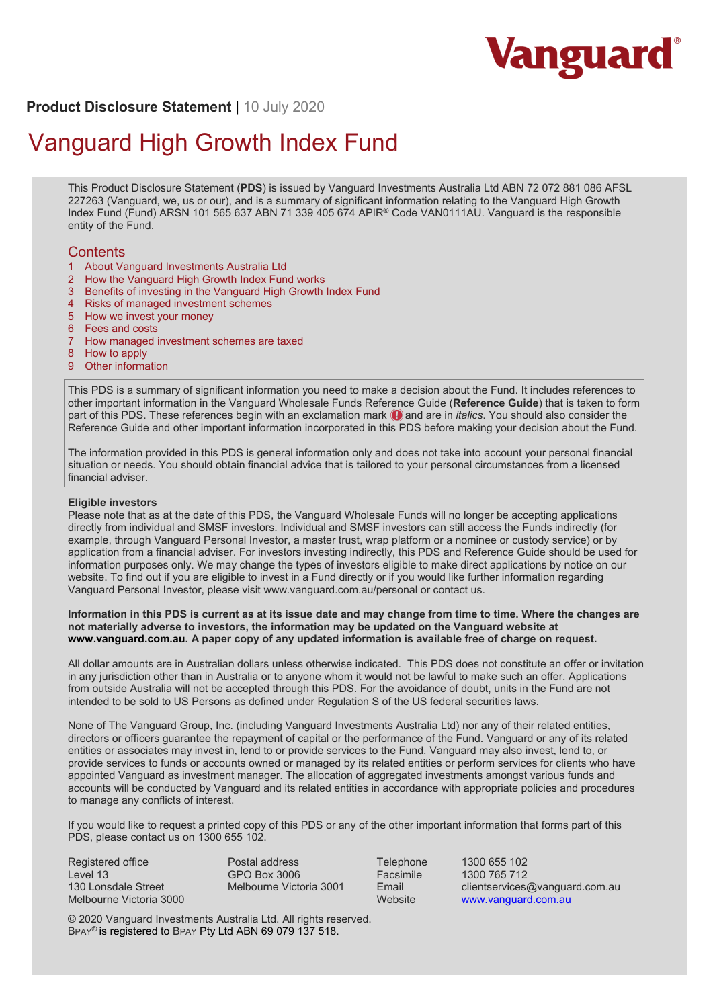

**Product Disclosure Statement** | 10 July 2020

# Vanguard High Growth Index Fund

This Product Disclosure Statement (**PDS**) is issued by Vanguard Investments Australia Ltd ABN 72 072 881 086 AFSL 227263 (Vanguard, we, us or our), and is a summary of significant information relating to the Vanguard High Growth Index Fund (Fund) ARSN 101 565 637 ABN 71 339 405 674 APIR® Code VAN0111AU. Vanguard is the responsible entity of the Fund.

# **Contents**

- 1 About Vanguard Investments Australia Ltd
- 2 How the Vanguard High Growth Index Fund works
- 3 Benefits of investing in the Vanguard High Growth Index Fund
- 4 Risks of managed investment schemes
- 5 How we invest your money
- 6 Fees and costs
- 7 How managed investment schemes are taxed
- 8 How to apply
- 9 Other information

This PDS is a summary of significant information you need to make a decision about the Fund. It includes references to other important information in the Vanguard Wholesale Funds Reference Guide (**Reference Guide**) that is taken to form part of this PDS. These references begin with an exclamation mark  $\bigcirc$  and are in *italics*. You should also consider the Reference Guide and other important information incorporated in this PDS before making your decision about the Fund.

The information provided in this PDS is general information only and does not take into account your personal financial situation or needs. You should obtain financial advice that is tailored to your personal circumstances from a licensed financial adviser.

#### **Eligible investors**

Please note that as at the date of this PDS, the Vanguard Wholesale Funds will no longer be accepting applications directly from individual and SMSF investors. Individual and SMSF investors can still access the Funds indirectly (for example, through Vanguard Personal Investor, a master trust, wrap platform or a nominee or custody service) or by application from a financial adviser. For investors investing indirectly, this PDS and Reference Guide should be used for information purposes only. We may change the types of investors eligible to make direct applications by notice on our website. To find out if you are eligible to invest in a Fund directly or if you would like further information regarding Vanguard Personal Investor, please visit www.vanguard.com.au/personal or contact us.

#### **Information in this PDS is current as at its issue date and may change from time to time. Where the changes are not materially adverse to investors, the information may be updated on the Vanguard website at www.vanguard.com.au. A paper copy of any updated information is available free of charge on request.**

All dollar amounts are in Australian dollars unless otherwise indicated. This PDS does not constitute an offer or invitation in any jurisdiction other than in Australia or to anyone whom it would not be lawful to make such an offer. Applications from outside Australia will not be accepted through this PDS. For the avoidance of doubt, units in the Fund are not intended to be sold to US Persons as defined under Regulation S of the US federal securities laws.

None of The Vanguard Group, Inc. (including Vanguard Investments Australia Ltd) nor any of their related entities, directors or officers guarantee the repayment of capital or the performance of the Fund. Vanguard or any of its related entities or associates may invest in, lend to or provide services to the Fund. Vanguard may also invest, lend to, or provide services to funds or accounts owned or managed by its related entities or perform services for clients who have appointed Vanguard as investment manager. The allocation of aggregated investments amongst various funds and accounts will be conducted by Vanguard and its related entities in accordance with appropriate policies and procedures to manage any conflicts of interest.

If you would like to request a printed copy of this PDS or any of the other important information that forms part of this PDS, please contact us on 1300 655 102.

Registered office Level 13 130 Lonsdale Street Melbourne Victoria 3000 Postal address GPO Box 3006 Melbourne Victoria 3001

Telephone 1300 655 102 Facsimile 1300 765 712<br>Email clientservices Email clientservices@vanguard.com.au<br>Website www.vanguard.com.au www.vanguard.com.au

© 2020 Vanguard Investments Australia Ltd. All rights reserved. BPAY® is registered to BPAY Pty Ltd ABN 69 079 137 518.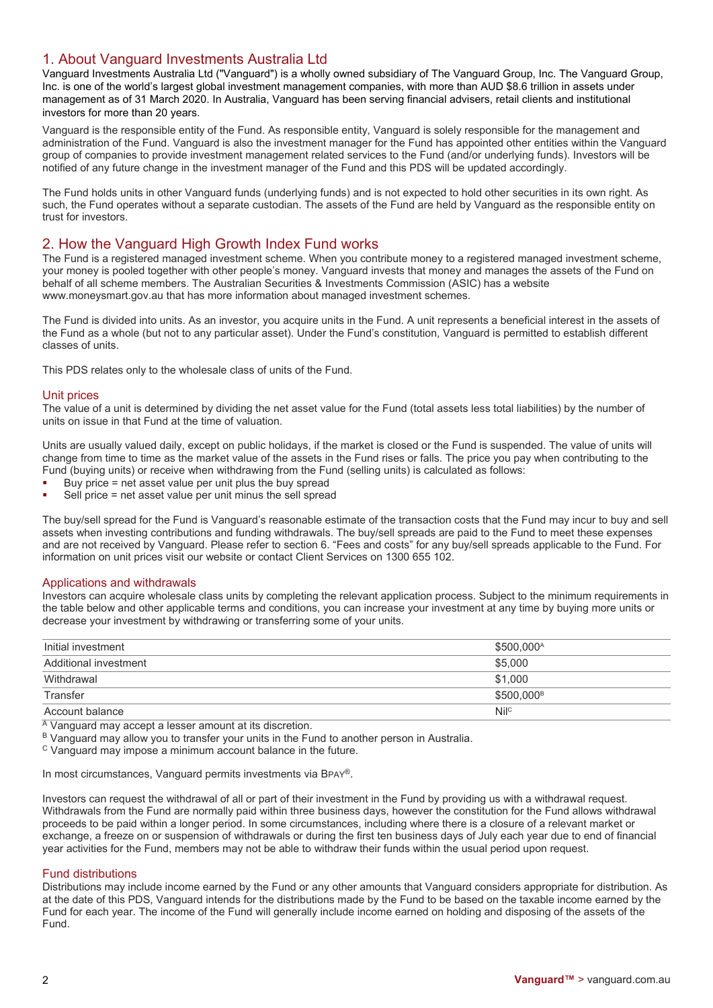# 1. About Vanguard Investments Australia Ltd

Vanguard Investments Australia Ltd ("Vanguard") is a wholly owned subsidiary of The Vanguard Group, Inc. The Vanguard Group, Inc. is one of the world's largest global investment management companies, with more than AUD \$8.6 trillion in assets under management as of 31 March 2020. In Australia, Vanguard has been serving financial advisers, retail clients and institutional investors for more than 20 years.

Vanguard is the responsible entity of the Fund. As responsible entity, Vanguard is solely responsible for the management and administration of the Fund. Vanguard is also the investment manager for the Fund has appointed other entities within the Vanguard group of companies to provide investment management related services to the Fund (and/or underlying funds). Investors will be notified of any future change in the investment manager of the Fund and this PDS will be updated accordingly.

The Fund holds units in other Vanguard funds (underlying funds) and is not expected to hold other securities in its own right. As such, the Fund operates without a separate custodian. The assets of the Fund are held by Vanguard as the responsible entity on trust for investors.

# 2. How the Vanguard High Growth Index Fund works

The Fund is a registered managed investment scheme. When you contribute money to a registered managed investment scheme, your money is pooled together with other people's money. Vanguard invests that money and manages the assets of the Fund on behalf of all scheme members. The Australian Securities & Investments Commission (ASIC) has a website www.moneysmart.gov.au that has more information about managed investment schemes.

The Fund is divided into units. As an investor, you acquire units in the Fund. A unit represents a beneficial interest in the assets of the Fund as a whole (but not to any particular asset). Under the Fund's constitution, Vanguard is permitted to establish different classes of units.

This PDS relates only to the wholesale class of units of the Fund.

# Unit prices

The value of a unit is determined by dividing the net asset value for the Fund (total assets less total liabilities) by the number of units on issue in that Fund at the time of valuation.

Units are usually valued daily, except on public holidays, if the market is closed or the Fund is suspended. The value of units will change from time to time as the market value of the assets in the Fund rises or falls. The price you pay when contributing to the Fund (buying units) or receive when withdrawing from the Fund (selling units) is calculated as follows:

- Buy price = net asset value per unit plus the buy spread
- Sell price = net asset value per unit minus the sell spread

The buy/sell spread for the Fund is Vanguard's reasonable estimate of the transaction costs that the Fund may incur to buy and sell assets when investing contributions and funding withdrawals. The buy/sell spreads are paid to the Fund to meet these expenses and are not received by Vanguard. Please refer to section 6. "Fees and costs" for any buy/sell spreads applicable to the Fund. For information on unit prices visit our website or contact Client Services on 1300 655 102.

## Applications and withdrawals

Investors can acquire wholesale class units by completing the relevant application process. Subject to the minimum requirements in the table below and other applicable terms and conditions, you can increase your investment at any time by buying more units or decrease your investment by withdrawing or transferring some of your units.

| Initial investment    | \$500,000 <sup>A</sup> |
|-----------------------|------------------------|
| Additional investment | \$5,000                |
| Withdrawal            | \$1.000                |
| Transfer              | \$500.000 <sup>B</sup> |
| Account balance       | Nilc                   |

A Vanguard may accept a lesser amount at its discretion.

B Vanguard may allow you to transfer your units in the Fund to another person in Australia.

<sup>C</sup> Vanguard may impose a minimum account balance in the future.

In most circumstances, Vanguard permits investments via BPAY®.

Investors can request the withdrawal of all or part of their investment in the Fund by providing us with a withdrawal request. Withdrawals from the Fund are normally paid within three business days, however the constitution for the Fund allows withdrawal proceeds to be paid within a longer period. In some circumstances, including where there is a closure of a relevant market or exchange, a freeze on or suspension of withdrawals or during the first ten business days of July each year due to end of financial year activities for the Fund, members may not be able to withdraw their funds within the usual period upon request.

## Fund distributions

Distributions may include income earned by the Fund or any other amounts that Vanguard considers appropriate for distribution. As at the date of this PDS, Vanguard intends for the distributions made by the Fund to be based on the taxable income earned by the Fund for each year. The income of the Fund will generally include income earned on holding and disposing of the assets of the Fund.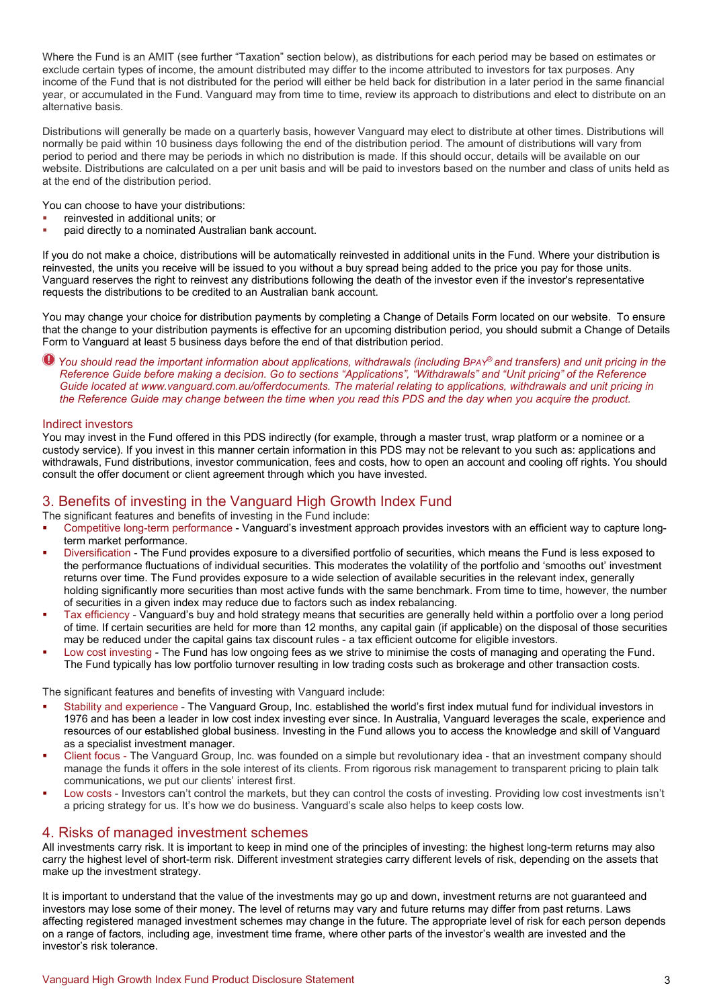Where the Fund is an AMIT (see further "Taxation" section below), as distributions for each period may be based on estimates or exclude certain types of income, the amount distributed may differ to the income attributed to investors for tax purposes. Any income of the Fund that is not distributed for the period will either be held back for distribution in a later period in the same financial year, or accumulated in the Fund. Vanguard may from time to time, review its approach to distributions and elect to distribute on an alternative basis.

Distributions will generally be made on a quarterly basis, however Vanguard may elect to distribute at other times. Distributions will normally be paid within 10 business days following the end of the distribution period. The amount of distributions will vary from period to period and there may be periods in which no distribution is made. If this should occur, details will be available on our website. Distributions are calculated on a per unit basis and will be paid to investors based on the number and class of units held as at the end of the distribution period.

You can choose to have your distributions:

- reinvested in additional units; or
- paid directly to a nominated Australian bank account.

If you do not make a choice, distributions will be automatically reinvested in additional units in the Fund. Where your distribution is reinvested, the units you receive will be issued to you without a buy spread being added to the price you pay for those units. Vanguard reserves the right to reinvest any distributions following the death of the investor even if the investor's representative requests the distributions to be credited to an Australian bank account.

You may change your choice for distribution payments by completing a Change of Details Form located on our website. To ensure that the change to your distribution payments is effective for an upcoming distribution period, you should submit a Change of Details Form to Vanguard at least 5 business days before the end of that distribution period.

*You should read the important information about applications, withdrawals (including BPAY® and transfers) and unit pricing in the Reference Guide before making a decision. Go to sections "Applications", "Withdrawals" and "Unit pricing" of the Reference Guide located at www.vanguard.com.au/offerdocuments. The material relating to applications, withdrawals and unit pricing in the Reference Guide may change between the time when you read this PDS and the day when you acquire the product.*

## Indirect investors

You may invest in the Fund offered in this PDS indirectly (for example, through a master trust, wrap platform or a nominee or a custody service). If you invest in this manner certain information in this PDS may not be relevant to you such as: applications and withdrawals, Fund distributions, investor communication, fees and costs, how to open an account and cooling off rights. You should consult the offer document or client agreement through which you have invested.

# 3. Benefits of investing in the Vanguard High Growth Index Fund

The significant features and benefits of investing in the Fund include:

- Competitive long-term performance Vanguard's investment approach provides investors with an efficient way to capture longterm market performance.
- Diversification The Fund provides exposure to a diversified portfolio of securities, which means the Fund is less exposed to the performance fluctuations of individual securities. This moderates the volatility of the portfolio and 'smooths out' investment returns over time. The Fund provides exposure to a wide selection of available securities in the relevant index, generally holding significantly more securities than most active funds with the same benchmark. From time to time, however, the number of securities in a given index may reduce due to factors such as index rebalancing.
- Tax efficiency Vanguard's buy and hold strategy means that securities are generally held within a portfolio over a long period of time. If certain securities are held for more than 12 months, any capital gain (if applicable) on the disposal of those securities may be reduced under the capital gains tax discount rules - a tax efficient outcome for eligible investors.
- Low cost investing The Fund has low ongoing fees as we strive to minimise the costs of managing and operating the Fund. The Fund typically has low portfolio turnover resulting in low trading costs such as brokerage and other transaction costs.

The significant features and benefits of investing with Vanguard include:

- Stability and experience The Vanguard Group, Inc. established the world's first index mutual fund for individual investors in 1976 and has been a leader in low cost index investing ever since. In Australia, Vanguard leverages the scale, experience and resources of our established global business. Investing in the Fund allows you to access the knowledge and skill of Vanguard as a specialist investment manager.
- Client focus The Vanguard Group, Inc. was founded on a simple but revolutionary idea that an investment company should manage the funds it offers in the sole interest of its clients. From rigorous risk management to transparent pricing to plain talk communications, we put our clients' interest first.
- Low costs Investors can't control the markets, but they can control the costs of investing. Providing low cost investments isn't a pricing strategy for us. It's how we do business. Vanguard's scale also helps to keep costs low.

# 4. Risks of managed investment schemes

All investments carry risk. It is important to keep in mind one of the principles of investing: the highest long-term returns may also carry the highest level of short-term risk. Different investment strategies carry different levels of risk, depending on the assets that make up the investment strategy.

It is important to understand that the value of the investments may go up and down, investment returns are not guaranteed and investors may lose some of their money. The level of returns may vary and future returns may differ from past returns. Laws affecting registered managed investment schemes may change in the future. The appropriate level of risk for each person depends on a range of factors, including age, investment time frame, where other parts of the investor's wealth are invested and the investor's risk tolerance.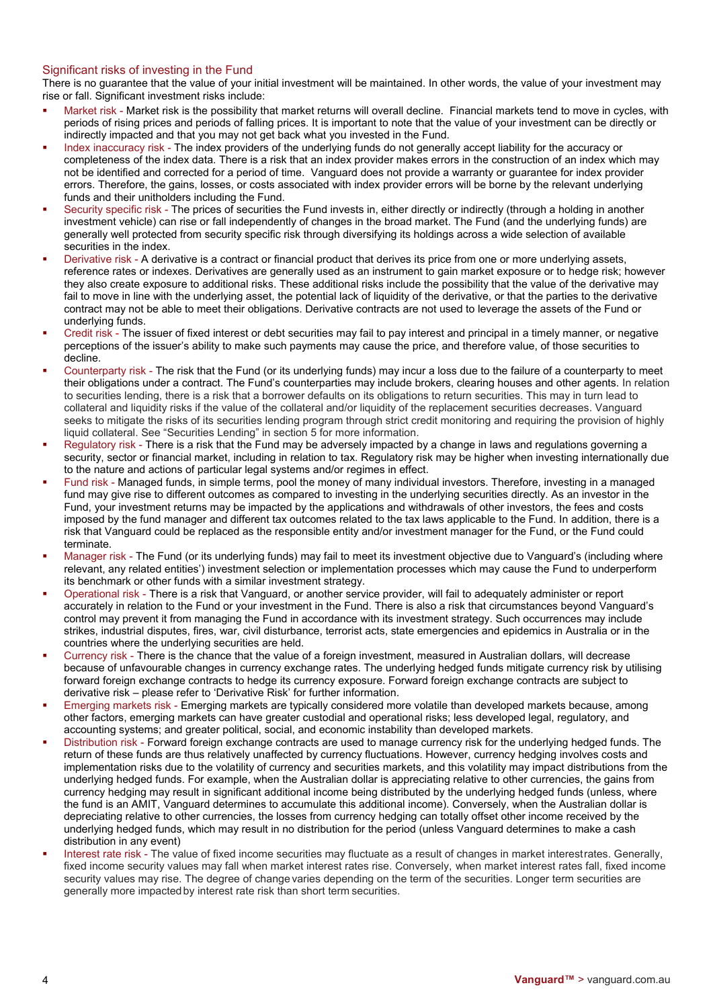# Significant risks of investing in the Fund

There is no guarantee that the value of your initial investment will be maintained. In other words, the value of your investment may rise or fall. Significant investment risks include:

- Market risk Market risk is the possibility that market returns will overall decline. Financial markets tend to move in cycles, with periods of rising prices and periods of falling prices. It is important to note that the value of your investment can be directly or indirectly impacted and that you may not get back what you invested in the Fund.
- Index inaccuracy risk The index providers of the underlying funds do not generally accept liability for the accuracy or completeness of the index data. There is a risk that an index provider makes errors in the construction of an index which may not be identified and corrected for a period of time. Vanguard does not provide a warranty or guarantee for index provider errors. Therefore, the gains, losses, or costs associated with index provider errors will be borne by the relevant underlying funds and their unitholders including the Fund.
- Security specific risk The prices of securities the Fund invests in, either directly or indirectly (through a holding in another investment vehicle) can rise or fall independently of changes in the broad market. The Fund (and the underlying funds) are generally well protected from security specific risk through diversifying its holdings across a wide selection of available securities in the index.
- Derivative risk A derivative is a contract or financial product that derives its price from one or more underlying assets, reference rates or indexes. Derivatives are generally used as an instrument to gain market exposure or to hedge risk; however they also create exposure to additional risks. These additional risks include the possibility that the value of the derivative may fail to move in line with the underlying asset, the potential lack of liquidity of the derivative, or that the parties to the derivative contract may not be able to meet their obligations. Derivative contracts are not used to leverage the assets of the Fund or underlying funds.
- Credit risk The issuer of fixed interest or debt securities may fail to pay interest and principal in a timely manner, or negative perceptions of the issuer's ability to make such payments may cause the price, and therefore value, of those securities to decline.
- Counterparty risk The risk that the Fund (or its underlying funds) may incur a loss due to the failure of a counterparty to meet their obligations under a contract. The Fund's counterparties may include brokers, clearing houses and other agents. In relation to securities lending, there is a risk that a borrower defaults on its obligations to return securities. This may in turn lead to collateral and liquidity risks if the value of the collateral and/or liquidity of the replacement securities decreases. Vanguard seeks to mitigate the risks of its securities lending program through strict credit monitoring and requiring the provision of highly liquid collateral. See "Securities Lending" in section 5 for more information.
- Regulatory risk There is a risk that the Fund may be adversely impacted by a change in laws and regulations governing a security, sector or financial market, including in relation to tax. Regulatory risk may be higher when investing internationally due to the nature and actions of particular legal systems and/or regimes in effect.
- Fund risk Managed funds, in simple terms, pool the money of many individual investors. Therefore, investing in a managed fund may give rise to different outcomes as compared to investing in the underlying securities directly. As an investor in the Fund, your investment returns may be impacted by the applications and withdrawals of other investors, the fees and costs imposed by the fund manager and different tax outcomes related to the tax laws applicable to the Fund. In addition, there is a risk that Vanguard could be replaced as the responsible entity and/or investment manager for the Fund, or the Fund could terminate.
- Manager risk The Fund (or its underlying funds) may fail to meet its investment objective due to Vanguard's (including where relevant, any related entities') investment selection or implementation processes which may cause the Fund to underperform its benchmark or other funds with a similar investment strategy.
- Operational risk There is a risk that Vanguard, or another service provider, will fail to adequately administer or report accurately in relation to the Fund or your investment in the Fund. There is also a risk that circumstances beyond Vanguard's control may prevent it from managing the Fund in accordance with its investment strategy. Such occurrences may include strikes, industrial disputes, fires, war, civil disturbance, terrorist acts, state emergencies and epidemics in Australia or in the countries where the underlying securities are held.
- Currency risk There is the chance that the value of a foreign investment, measured in Australian dollars, will decrease because of unfavourable changes in currency exchange rates. The underlying hedged funds mitigate currency risk by utilising forward foreign exchange contracts to hedge its currency exposure. Forward foreign exchange contracts are subject to derivative risk – please refer to 'Derivative Risk' for further information.
- Emerging markets risk Emerging markets are typically considered more volatile than developed markets because, among other factors, emerging markets can have greater custodial and operational risks; less developed legal, regulatory, and accounting systems; and greater political, social, and economic instability than developed markets.
- Distribution risk Forward foreign exchange contracts are used to manage currency risk for the underlying hedged funds. The return of these funds are thus relatively unaffected by currency fluctuations. However, currency hedging involves costs and implementation risks due to the volatility of currency and securities markets, and this volatility may impact distributions from the underlying hedged funds. For example, when the Australian dollar is appreciating relative to other currencies, the gains from currency hedging may result in significant additional income being distributed by the underlying hedged funds (unless, where the fund is an AMIT, Vanguard determines to accumulate this additional income). Conversely, when the Australian dollar is depreciating relative to other currencies, the losses from currency hedging can totally offset other income received by the underlying hedged funds, which may result in no distribution for the period (unless Vanguard determines to make a cash distribution in any event)
- Interest rate risk The value of fixed income securities may fluctuate as a result of changes in market interestrates. Generally, fixed income security values may fall when market interest rates rise. Conversely, when market interest rates fall, fixed income security values may rise. The degree of change varies depending on the term of the securities. Longer term securities are generally more impactedby interest rate risk than short term securities.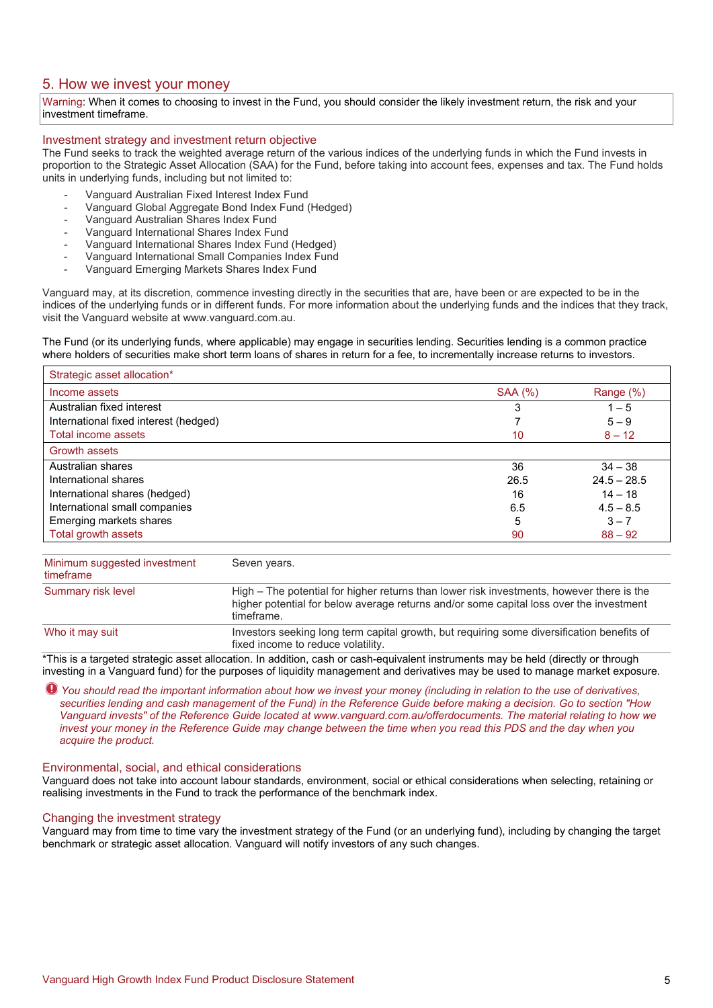# 5. How we invest your money

Warning: When it comes to choosing to invest in the Fund, you should consider the likely investment return, the risk and your investment timeframe.

## Investment strategy and investment return objective

The Fund seeks to track the weighted average return of the various indices of the underlying funds in which the Fund invests in proportion to the Strategic Asset Allocation (SAA) for the Fund, before taking into account fees, expenses and tax. The Fund holds units in underlying funds, including but not limited to:

- Vanguard Australian Fixed Interest Index Fund
- Vanguard Global Aggregate Bond Index Fund (Hedged)
- Vanguard Australian Shares Index Fund
- Vanguard International Shares Index Fund
- Vanguard International Shares Index Fund (Hedged)
- Vanguard International Small Companies Index Fund
- Vanguard Emerging Markets Shares Index Fund

Vanguard may, at its discretion, commence investing directly in the securities that are, have been or are expected to be in the indices of the underlying funds or in different funds. For more information about the underlying funds and the indices that they track, visit the Vanguard website at www.vanguard.com.au.

The Fund (or its underlying funds, where applicable) may engage in securities lending. Securities lending is a common practice where holders of securities make short term loans of shares in return for a fee, to incrementally increase returns to investors.

| Strategic asset allocation*           |                |               |
|---------------------------------------|----------------|---------------|
| Income assets                         | <b>SAA (%)</b> | Range (%)     |
| Australian fixed interest             | 3              | $1 - 5$       |
| International fixed interest (hedged) |                | $5 - 9$       |
| Total income assets                   | 10             | $8 - 12$      |
| <b>Growth assets</b>                  |                |               |
| Australian shares                     | 36             | $34 - 38$     |
| International shares                  | 26.5           | $24.5 - 28.5$ |
| International shares (hedged)         | 16             | $14 - 18$     |
| International small companies         | 6.5            | $4.5 - 8.5$   |
| Emerging markets shares               | 5              | $3 - 7$       |
| Total growth assets                   | 90             | $88 - 92$     |

| Minimum suggested investment<br>timeframe | Seven years.                                                                                                                                                                                       |
|-------------------------------------------|----------------------------------------------------------------------------------------------------------------------------------------------------------------------------------------------------|
| Summary risk level                        | High – The potential for higher returns than lower risk investments, however there is the<br>higher potential for below average returns and/or some capital loss over the investment<br>timeframe. |
| Who it may suit                           | Investors seeking long term capital growth, but requiring some diversification benefits of<br>fixed income to reduce volatility.                                                                   |

\*This is a targeted strategic asset allocation. In addition, cash or cash-equivalent instruments may be held (directly or through investing in a Vanguard fund) for the purposes of liquidity management and derivatives may be used to manage market exposure.

*You should read the important information about how we invest your money (including in relation to the use of derivatives, securities lending and cash management of the Fund) in the Reference Guide before making a decision. Go to section "How Vanguard invests" of the Reference Guide located at www.vanguard.com.au/offerdocuments. The material relating to how we invest your money in the Reference Guide may change between the time when you read this PDS and the day when you acquire the product.* 

#### Environmental, social, and ethical considerations

Vanguard does not take into account labour standards, environment, social or ethical considerations when selecting, retaining or realising investments in the Fund to track the performance of the benchmark index.

#### Changing the investment strategy

Vanguard may from time to time vary the investment strategy of the Fund (or an underlying fund), including by changing the target benchmark or strategic asset allocation. Vanguard will notify investors of any such changes.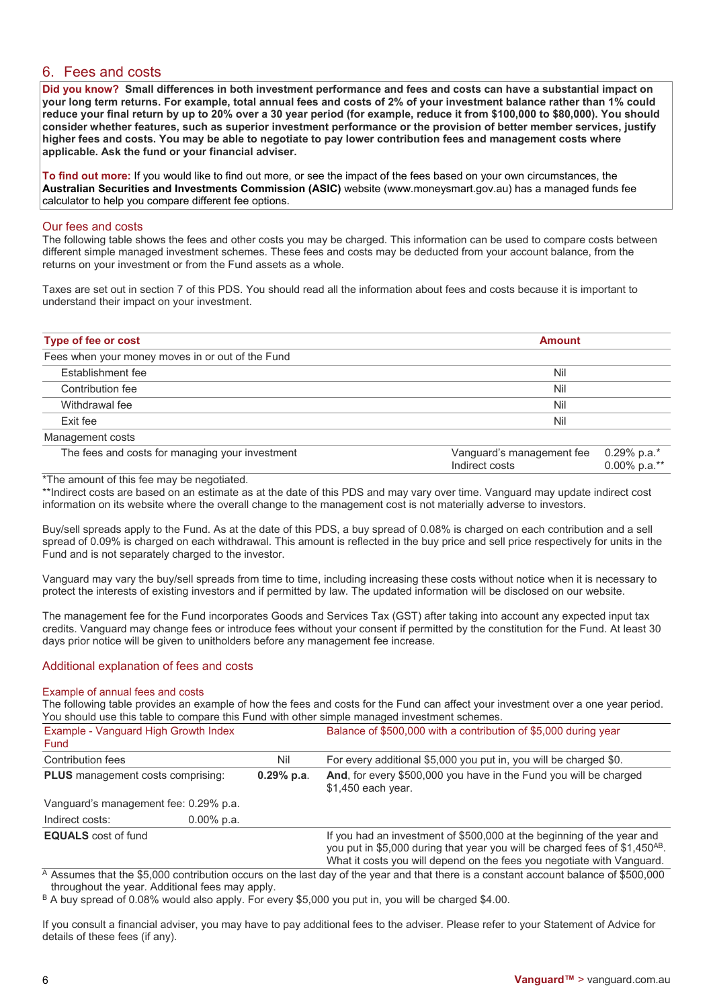# 6. Fees and costs

**Did you know? Small differences in both investment performance and fees and costs can have a substantial impact on your long term returns. For example, total annual fees and costs of 2% of your investment balance rather than 1% could reduce your final return by up to 20% over a 30 year period (for example, reduce it from \$100,000 to \$80,000). You should consider whether features, such as superior investment performance or the provision of better member services, justify higher fees and costs. You may be able to negotiate to pay lower contribution fees and management costs where applicable. Ask the fund or your financial adviser.**

**To find out more:** If you would like to find out more, or see the impact of the fees based on your own circumstances, the **Australian Securities and Investments Commission (ASIC)** website (www.moneysmart.gov.au) has a managed funds fee calculator to help you compare different fee options.

## Our fees and costs

The following table shows the fees and other costs you may be charged. This information can be used to compare costs between different simple managed investment schemes. These fees and costs may be deducted from your account balance, from the returns on your investment or from the Fund assets as a whole.

Taxes are set out in section 7 of this PDS. You should read all the information about fees and costs because it is important to understand their impact on your investment.

| Type of fee or cost                              | <b>Amount</b> |  |
|--------------------------------------------------|---------------|--|
| Fees when your money moves in or out of the Fund |               |  |
| <b>Establishment fee</b>                         | Nil           |  |
| Contribution fee                                 | Nil           |  |
| Withdrawal fee                                   | Nil           |  |
| Exit fee                                         | Nil           |  |
| Management costs                                 |               |  |

| The fees and costs for managing your investment | Vanguard's management fee 0.29% p.a.*<br>Indirect costs | 0.00% p.a.** |
|-------------------------------------------------|---------------------------------------------------------|--------------|
|                                                 |                                                         |              |

# \*The amount of this fee may be negotiated.

\*\*Indirect costs are based on an estimate as at the date of this PDS and may vary over time. Vanguard may update indirect cost information on its website where the overall change to the management cost is not materially adverse to investors.

Buy/sell spreads apply to the Fund. As at the date of this PDS, a buy spread of 0.08% is charged on each contribution and a sell spread of 0.09% is charged on each withdrawal. This amount is reflected in the buy price and sell price respectively for units in the Fund and is not separately charged to the investor.

Vanguard may vary the buy/sell spreads from time to time, including increasing these costs without notice when it is necessary to protect the interests of existing investors and if permitted by law. The updated information will be disclosed on our website.

The management fee for the Fund incorporates Goods and Services Tax (GST) after taking into account any expected input tax credits. Vanguard may change fees or introduce fees without your consent if permitted by the constitution for the Fund. At least 30 days prior notice will be given to unitholders before any management fee increase.

# Additional explanation of fees and costs

## Example of annual fees and costs

The following table provides an example of how the fees and costs for the Fund can affect your investment over a one year period. You should use this table to compare this Fund with other simple managed investment schemes.

| Example - Vanguard High Growth Index<br>Fund |               |              | Balance of \$500,000 with a contribution of \$5,000 during year                                                                                                                                                                             |
|----------------------------------------------|---------------|--------------|---------------------------------------------------------------------------------------------------------------------------------------------------------------------------------------------------------------------------------------------|
| Contribution fees                            |               | Nil          | For every additional \$5,000 you put in, you will be charged \$0.                                                                                                                                                                           |
| <b>PLUS</b> management costs comprising:     |               | $0.29%$ p.a. | And, for every \$500,000 you have in the Fund you will be charged<br>\$1,450 each year.                                                                                                                                                     |
| Vanguard's management fee: 0.29% p.a.        |               |              |                                                                                                                                                                                                                                             |
| Indirect costs:                              | $0.00\%$ p.a. |              |                                                                                                                                                                                                                                             |
| <b>EQUALS</b> cost of fund                   |               |              | If you had an investment of \$500,000 at the beginning of the year and<br>you put in \$5,000 during that year you will be charged fees of \$1,450 <sup>AB</sup> .<br>What it costs you will depend on the fees you negotiate with Vanguard. |

 $\overline{A}$  Assumes that the \$5,000 contribution occurs on the last day of the year and that there is a constant account balance of \$500,000 throughout the year. Additional fees may apply.

B A buy spread of 0.08% would also apply. For every \$5,000 you put in, you will be charged \$4.00.

If you consult a financial adviser, you may have to pay additional fees to the adviser. Please refer to your Statement of Advice for details of these fees (if any).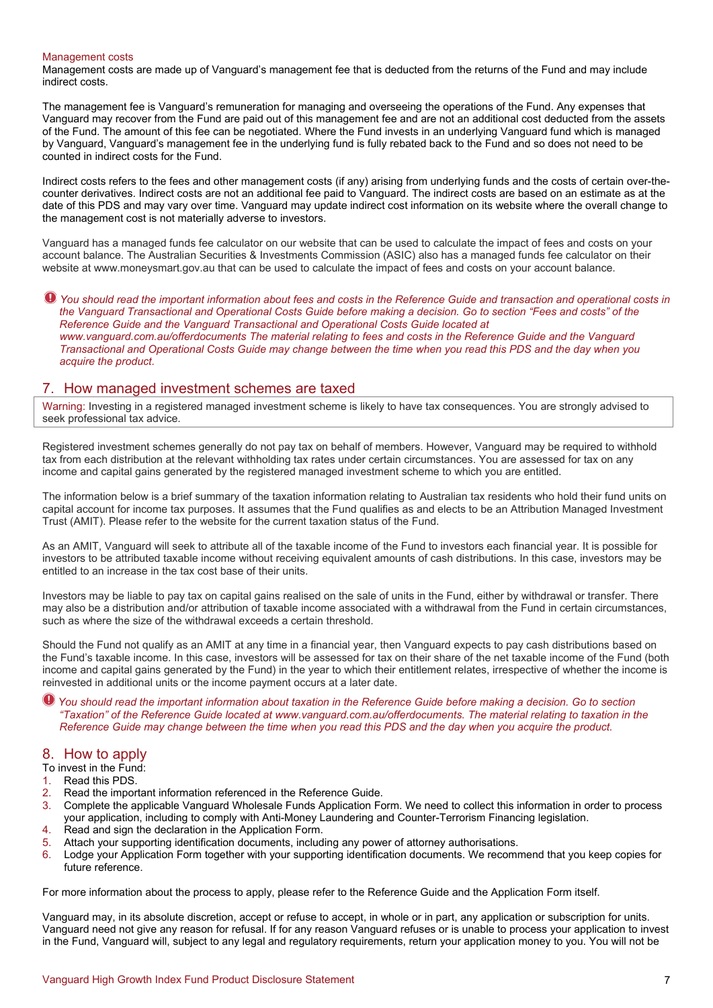#### Management costs

Management costs are made up of Vanguard's management fee that is deducted from the returns of the Fund and may include indirect costs.

The management fee is Vanguard's remuneration for managing and overseeing the operations of the Fund. Any expenses that Vanguard may recover from the Fund are paid out of this management fee and are not an additional cost deducted from the assets of the Fund. The amount of this fee can be negotiated. Where the Fund invests in an underlying Vanguard fund which is managed by Vanguard, Vanguard's management fee in the underlying fund is fully rebated back to the Fund and so does not need to be counted in indirect costs for the Fund.

Indirect costs refers to the fees and other management costs (if any) arising from underlying funds and the costs of certain over-thecounter derivatives. Indirect costs are not an additional fee paid to Vanguard. The indirect costs are based on an estimate as at the date of this PDS and may vary over time. Vanguard may update indirect cost information on its website where the overall change to the management cost is not materially adverse to investors.

Vanguard has a managed funds fee calculator on our website that can be used to calculate the impact of fees and costs on your account balance. The Australian Securities & Investments Commission (ASIC) also has a managed funds fee calculator on their website at www.moneysmart.gov.au that can be used to calculate the impact of fees and costs on your account balance.

 $\bullet$  You should read the important information about fees and costs in the Reference Guide and transaction and operational costs in *the Vanguard Transactional and Operational Costs Guide before making a decision. Go to section "Fees and costs" of the Reference Guide and the Vanguard Transactional and Operational Costs Guide located at www.vanguard.com.au/offerdocuments The material relating to fees and costs in the Reference Guide and the Vanguard Transactional and Operational Costs Guide may change between the time when you read this PDS and the day when you acquire the product.*

# 7. How managed investment schemes are taxed

Warning: Investing in a registered managed investment scheme is likely to have tax consequences. You are strongly advised to seek professional tax advice.

Registered investment schemes generally do not pay tax on behalf of members. However, Vanguard may be required to withhold tax from each distribution at the relevant withholding tax rates under certain circumstances. You are assessed for tax on any income and capital gains generated by the registered managed investment scheme to which you are entitled.

The information below is a brief summary of the taxation information relating to Australian tax residents who hold their fund units on capital account for income tax purposes. It assumes that the Fund qualifies as and elects to be an Attribution Managed Investment Trust (AMIT). Please refer to the website for the current taxation status of the Fund.

As an AMIT, Vanguard will seek to attribute all of the taxable income of the Fund to investors each financial year. It is possible for investors to be attributed taxable income without receiving equivalent amounts of cash distributions. In this case, investors may be entitled to an increase in the tax cost base of their units.

Investors may be liable to pay tax on capital gains realised on the sale of units in the Fund, either by withdrawal or transfer. There may also be a distribution and/or attribution of taxable income associated with a withdrawal from the Fund in certain circumstances, such as where the size of the withdrawal exceeds a certain threshold.

Should the Fund not qualify as an AMIT at any time in a financial year, then Vanguard expects to pay cash distributions based on the Fund's taxable income. In this case, investors will be assessed for tax on their share of the net taxable income of the Fund (both income and capital gains generated by the Fund) in the year to which their entitlement relates, irrespective of whether the income is reinvested in additional units or the income payment occurs at a later date.

*You should read the important information about taxation in the Reference Guide before making a decision. Go to section "Taxation" of the Reference Guide located at www.vanguard.com.au/offerdocuments. The material relating to taxation in the Reference Guide may change between the time when you read this PDS and the day when you acquire the product.* 

# 8. How to apply

- To invest in the Fund:
- 1. Read this PDS.
- 2. Read the important information referenced in the Reference Guide.
- 3. Complete the applicable Vanguard Wholesale Funds Application Form. We need to collect this information in order to process your application, including to comply with Anti-Money Laundering and Counter-Terrorism Financing legislation.
- 4. Read and sign the declaration in the Application Form.
- 5. Attach your supporting identification documents, including any power of attorney authorisations.
- 6. Lodge your Application Form together with your supporting identification documents. We recommend that you keep copies for future reference.

For more information about the process to apply, please refer to the Reference Guide and the Application Form itself.

Vanguard may, in its absolute discretion, accept or refuse to accept, in whole or in part, any application or subscription for units. Vanguard need not give any reason for refusal. If for any reason Vanguard refuses or is unable to process your application to invest in the Fund, Vanguard will, subject to any legal and regulatory requirements, return your application money to you. You will not be